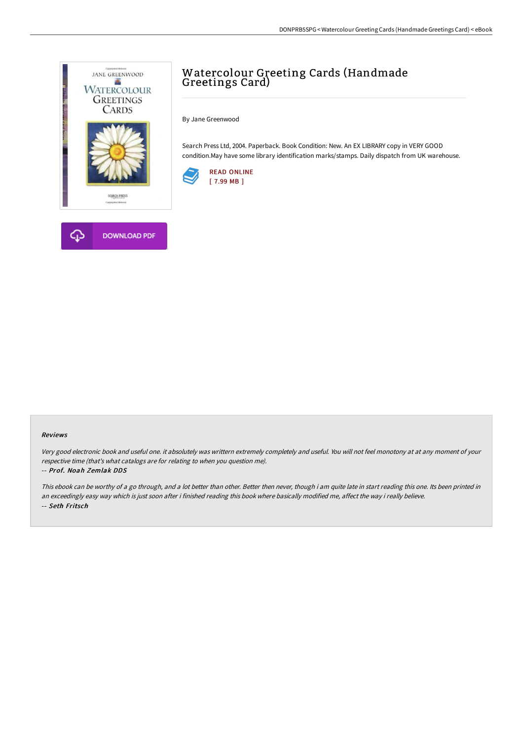

## Watercolour Greeting Cards (Handmade Greetings Card)

By Jane Greenwood

Search Press Ltd, 2004. Paperback. Book Condition: New. An EX LIBRARY copy in VERY GOOD condition.May have some library identification marks/stamps. Daily dispatch from UK warehouse.





Very good electronic book and useful one. it absolutely was writtern extremely completely and useful. You will not feel monotony at at any moment of your respective time (that's what catalogs are for relating to when you question me).

## -- Prof. Noah Zemlak DDS

This ebook can be worthy of a go through, and a lot better than other. Better then never, though i am quite late in start reading this one. Its been printed in an exceedingly easy way which is just soon after i finished reading this book where basically modified me, affect the way i really believe. -- Seth Fritsch